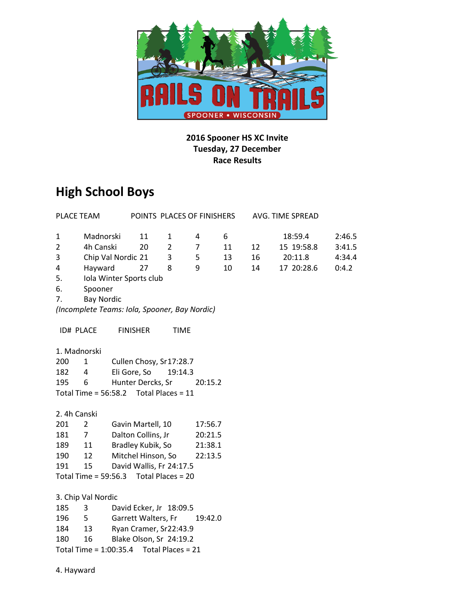

#### **2016 Spooner HS XC Invite Tuesday, 27 December Race Results**

# **High School Boys**

| PLACE TEAM                                 |                                               |                                | POINTS PLACES OF FINISHERS |                   |         |    |    | AVG. TIME SPREAD |        |  |
|--------------------------------------------|-----------------------------------------------|--------------------------------|----------------------------|-------------------|---------|----|----|------------------|--------|--|
| $\mathbf{1}$                               | Madnorski                                     |                                | 11                         | $\mathbf{1}$      | 4       | 6  |    | 18:59.4          | 2:46.5 |  |
| $\overline{2}$                             | 4h Canski                                     |                                | 20                         | $\overline{2}$    | 7       | 11 | 12 | 15 19:58.8       | 3:41.5 |  |
| 3                                          | Chip Val Nordic 21                            |                                |                            | 3                 | 5       | 13 | 16 | 20:11.8          | 4:34.4 |  |
| 4                                          | Hayward                                       |                                | 27                         | 8                 | 9       | 10 | 14 | 17 20:28.6       | 0:4.2  |  |
| 5.                                         |                                               |                                | Iola Winter Sports club    |                   |         |    |    |                  |        |  |
| 6.                                         |                                               |                                |                            |                   |         |    |    |                  |        |  |
| 7.                                         | Spooner<br><b>Bay Nordic</b>                  |                                |                            |                   |         |    |    |                  |        |  |
|                                            | (Incomplete Teams: Iola, Spooner, Bay Nordic) |                                |                            |                   |         |    |    |                  |        |  |
|                                            |                                               |                                |                            |                   |         |    |    |                  |        |  |
|                                            | <b>ID# PLACE</b>                              |                                | <b>FINISHER</b>            | <b>TIME</b>       |         |    |    |                  |        |  |
|                                            | 1. Madnorski                                  |                                |                            |                   |         |    |    |                  |        |  |
| 200                                        | $\mathbf{1}$                                  |                                | Cullen Chosy, Sr17:28.7    |                   |         |    |    |                  |        |  |
| 182                                        | 4                                             |                                | Eli Gore, So               | 19:14.3           |         |    |    |                  |        |  |
| 195                                        | 6                                             |                                | Hunter Dercks, Sr          |                   | 20:15.2 |    |    |                  |        |  |
|                                            | Total Time = $56:58.2$ Total Places = 11      |                                |                            |                   |         |    |    |                  |        |  |
|                                            |                                               |                                |                            |                   |         |    |    |                  |        |  |
| 2. 4h Canski                               |                                               |                                |                            |                   |         |    |    |                  |        |  |
| 201                                        | $\overline{2}$                                |                                | Gavin Martell, 10          |                   | 17:56.7 |    |    |                  |        |  |
| 181                                        | 7 <sup>7</sup>                                |                                | Dalton Collins, Jr         |                   | 20:21.5 |    |    |                  |        |  |
| 189                                        | 11                                            | Bradley Kubik, So<br>21:38.1   |                            |                   |         |    |    |                  |        |  |
| 190                                        | 12                                            |                                | Mitchel Hinson, So         |                   | 22:13.5 |    |    |                  |        |  |
| 191                                        | 15                                            |                                | David Wallis, Fr 24:17.5   |                   |         |    |    |                  |        |  |
|                                            | Total Time = 59:56.3                          |                                |                            | Total Places = 20 |         |    |    |                  |        |  |
|                                            |                                               |                                |                            |                   |         |    |    |                  |        |  |
|                                            | 3. Chip Val Nordic                            |                                |                            |                   |         |    |    |                  |        |  |
| 185                                        | 3                                             |                                | David Ecker, Jr 18:09.5    |                   |         |    |    |                  |        |  |
| 196                                        | $5 -$                                         | Garrett Walters, Fr<br>19:42.0 |                            |                   |         |    |    |                  |        |  |
| 184                                        | Ryan Cramer, Sr22:43.9<br>13                  |                                |                            |                   |         |    |    |                  |        |  |
| 180                                        | Blake Olson, Sr 24:19.2<br>16                 |                                |                            |                   |         |    |    |                  |        |  |
| Total Time = $1:00:35.4$ Total Places = 21 |                                               |                                |                            |                   |         |    |    |                  |        |  |
|                                            |                                               |                                |                            |                   |         |    |    |                  |        |  |
|                                            | 4. Hayward                                    |                                |                            |                   |         |    |    |                  |        |  |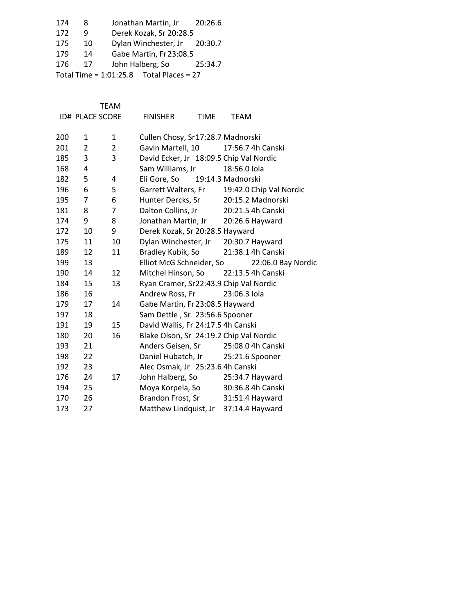| 174                                        | 8  | Jonathan Martin, Jr          | 20:26.6 |  |  |  |  |
|--------------------------------------------|----|------------------------------|---------|--|--|--|--|
| 172                                        |    | Derek Kozak, Sr 20:28.5      |         |  |  |  |  |
| 175                                        | 10 | Dylan Winchester, Jr 20:30.7 |         |  |  |  |  |
| 179                                        | 14 | Gabe Martin, Fr 23:08.5      |         |  |  |  |  |
| 176                                        | 17 | John Halberg, So             | 25:34.7 |  |  |  |  |
| Total Time = $1:01:25.8$ Total Places = 27 |    |                              |         |  |  |  |  |

TEAM

|     | <b>ID# PLACE SCORE</b> |                | <b>FINISHER</b>                         | <b>TIME</b> | <b>TEAM</b>             |                    |
|-----|------------------------|----------------|-----------------------------------------|-------------|-------------------------|--------------------|
| 200 | 1                      | 1              | Cullen Chosy, Sr17:28.7 Madnorski       |             |                         |                    |
| 201 | 2                      | $\overline{2}$ | Gavin Martell, 10                       |             | 17:56.7 4h Canski       |                    |
| 185 | 3                      | 3              | David Ecker, Jr 18:09.5 Chip Val Nordic |             |                         |                    |
| 168 | 4                      |                | Sam Williams, Jr                        |             | 18:56.0 Iola            |                    |
| 182 | 5                      | 4              | Eli Gore, So                            |             | 19:14.3 Madnorski       |                    |
| 196 | 6                      | 5              | Garrett Walters, Fr                     |             | 19:42.0 Chip Val Nordic |                    |
| 195 | 7                      | 6              | Hunter Dercks, Sr                       |             | 20:15.2 Madnorski       |                    |
| 181 | 8                      | 7              | Dalton Collins, Jr                      |             | 20:21.5 4h Canski       |                    |
| 174 | 9                      | 8              | Jonathan Martin, Jr                     |             | 20:26.6 Hayward         |                    |
| 172 | 10                     | 9              | Derek Kozak, Sr 20:28.5 Hayward         |             |                         |                    |
| 175 | 11                     | 10             | Dylan Winchester, Jr                    |             | 20:30.7 Hayward         |                    |
| 189 | 12                     | 11             | Bradley Kubik, So                       |             | 21:38.1 4h Canski       |                    |
| 199 | 13                     |                | Elliot McG Schneider, So                |             |                         | 22:06.0 Bay Nordic |
| 190 | 14                     | 12             | Mitchel Hinson, So                      |             | 22:13.5 4h Canski       |                    |
| 184 | 15                     | 13             | Ryan Cramer, Sr22:43.9 Chip Val Nordic  |             |                         |                    |
| 186 | 16                     |                | Andrew Ross, Fr                         |             | 23:06.3 lola            |                    |
| 179 | 17                     | 14             | Gabe Martin, Fr 23:08.5 Hayward         |             |                         |                    |
| 197 | 18                     |                | Sam Dettle, Sr 23:56.6 Spooner          |             |                         |                    |
| 191 | 19                     | 15             | David Wallis, Fr 24:17.5 4h Canski      |             |                         |                    |
| 180 | 20                     | 16             | Blake Olson, Sr 24:19.2 Chip Val Nordic |             |                         |                    |
| 193 | 21                     |                | Anders Geisen, Sr                       |             | 25:08.0 4h Canski       |                    |
| 198 | 22                     |                | Daniel Hubatch, Jr                      |             | 25:21.6 Spooner         |                    |
| 192 | 23                     |                | Alec Osmak, Jr 25:23.6 4h Canski        |             |                         |                    |
| 176 | 24                     | 17             | John Halberg, So                        |             | 25:34.7 Hayward         |                    |
| 194 | 25                     |                | Moya Korpela, So                        |             | 30:36.8 4h Canski       |                    |
| 170 | 26                     |                | Brandon Frost, Sr                       |             | 31:51.4 Hayward         |                    |
| 173 | 27                     |                | Matthew Lindquist, Jr                   |             | 37:14.4 Hayward         |                    |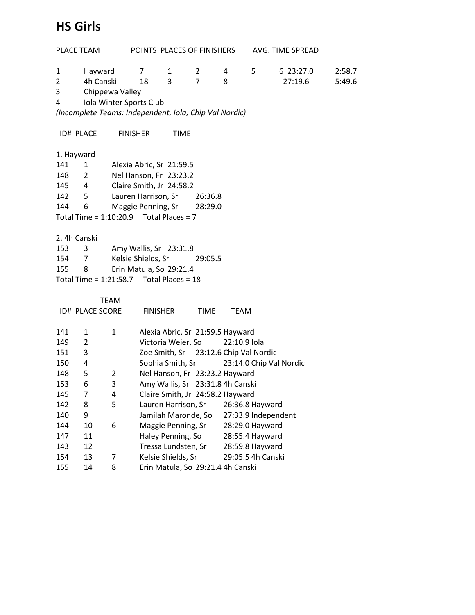## **HS Girls**

| PLACE TEAM                                                                        |                              |                 | POINTS PLACES OF FINISHERS    |                                            |                | AVG. TIME SPREAD |                     |                         |        |  |  |  |
|-----------------------------------------------------------------------------------|------------------------------|-----------------|-------------------------------|--------------------------------------------|----------------|------------------|---------------------|-------------------------|--------|--|--|--|
| $\mathbf{1}$                                                                      | Hayward                      |                 | $\overline{7}$                | 1                                          | $\mathbf{2}$   | 4                | 5                   | 6 23:27.0               | 2:58.7 |  |  |  |
| $\overline{2}$                                                                    | 4h Canski                    |                 | 18                            | 3                                          | $\overline{7}$ | 8                |                     | 27:19.6                 | 5:49.6 |  |  |  |
| 3                                                                                 |                              | Chippewa Valley |                               |                                            |                |                  |                     |                         |        |  |  |  |
| 4                                                                                 |                              |                 |                               |                                            |                |                  |                     |                         |        |  |  |  |
| Iola Winter Sports Club<br>(Incomplete Teams: Independent, Iola, Chip Val Nordic) |                              |                 |                               |                                            |                |                  |                     |                         |        |  |  |  |
|                                                                                   |                              |                 |                               |                                            |                |                  |                     |                         |        |  |  |  |
|                                                                                   | ID# PLACE                    | <b>FINISHER</b> |                               | <b>TIME</b>                                |                |                  |                     |                         |        |  |  |  |
| 1. Hayward                                                                        |                              |                 |                               |                                            |                |                  |                     |                         |        |  |  |  |
| 141                                                                               | $\mathbf{1}$                 |                 |                               | Alexia Abric, Sr 21:59.5                   |                |                  |                     |                         |        |  |  |  |
| 148                                                                               | 2                            |                 |                               | Nel Hanson, Fr 23:23.2                     |                |                  |                     |                         |        |  |  |  |
| 145                                                                               | 4                            |                 |                               | Claire Smith, Jr 24:58.2                   |                |                  |                     |                         |        |  |  |  |
| 142                                                                               | 5                            |                 | Lauren Harrison, Sr           |                                            | 26:36.8        |                  |                     |                         |        |  |  |  |
| 144                                                                               | 6                            |                 | Maggie Penning, Sr            |                                            | 28:29.0        |                  |                     |                         |        |  |  |  |
|                                                                                   |                              |                 |                               | Total Time = $1:10:20.9$ Total Places = 7  |                |                  |                     |                         |        |  |  |  |
|                                                                                   |                              |                 |                               |                                            |                |                  |                     |                         |        |  |  |  |
| 2. 4h Canski                                                                      |                              |                 |                               |                                            |                |                  |                     |                         |        |  |  |  |
| 153                                                                               | 3                            |                 |                               | Amy Wallis, Sr 23:31.8                     |                |                  |                     |                         |        |  |  |  |
| 154                                                                               | 7                            |                 | Kelsie Shields, Sr<br>29:05.5 |                                            |                |                  |                     |                         |        |  |  |  |
| 155                                                                               | Erin Matula, So 29:21.4<br>8 |                 |                               |                                            |                |                  |                     |                         |        |  |  |  |
|                                                                                   |                              |                 |                               | Total Time = $1:21:58.7$ Total Places = 18 |                |                  |                     |                         |        |  |  |  |
|                                                                                   |                              |                 |                               |                                            |                |                  |                     |                         |        |  |  |  |
|                                                                                   |                              | <b>TEAM</b>     |                               |                                            |                |                  |                     |                         |        |  |  |  |
|                                                                                   | <b>ID# PLACE SCORE</b>       |                 |                               | <b>FINISHER</b>                            | <b>TIME</b>    | <b>TEAM</b>      |                     |                         |        |  |  |  |
|                                                                                   |                              |                 |                               |                                            |                |                  |                     |                         |        |  |  |  |
| 141                                                                               | 1                            | $\mathbf{1}$    |                               | Alexia Abric, Sr 21:59.5 Hayward           |                |                  |                     |                         |        |  |  |  |
| 149                                                                               | 2                            |                 |                               | Victoria Weier, So                         |                | 22:10.9 Iola     |                     |                         |        |  |  |  |
| 151                                                                               | 3                            |                 |                               | Zoe Smith, Sr 23:12.6 Chip Val Nordic      |                |                  |                     |                         |        |  |  |  |
| 150                                                                               | 4                            |                 |                               | Sophia Smith, Sr                           |                |                  |                     | 23:14.0 Chip Val Nordic |        |  |  |  |
| 148                                                                               | 5                            | $\overline{2}$  |                               | Nel Hanson, Fr 23:23.2 Hayward             |                |                  |                     |                         |        |  |  |  |
| 153                                                                               | 6                            | 3               |                               | Amy Wallis, Sr 23:31.8 4h Canski           |                |                  |                     |                         |        |  |  |  |
| 145                                                                               | 7                            | 4               |                               | Claire Smith, Jr 24:58.2 Hayward           |                |                  |                     |                         |        |  |  |  |
| 142                                                                               | 8                            | 5               |                               | Lauren Harrison, Sr                        |                |                  | 26:36.8 Hayward     |                         |        |  |  |  |
| 140                                                                               | 9                            |                 |                               | Jamilah Maronde, So                        |                |                  | 27:33.9 Independent |                         |        |  |  |  |
| 144                                                                               | 10                           | 6               |                               | Maggie Penning, Sr                         |                |                  | 28:29.0 Hayward     |                         |        |  |  |  |
| 147                                                                               | 11                           |                 |                               | Haley Penning, So                          |                |                  | 28:55.4 Hayward     |                         |        |  |  |  |
| 143                                                                               | 12                           |                 |                               | Tressa Lundsten, Sr                        |                |                  | 28:59.8 Hayward     |                         |        |  |  |  |
| 154                                                                               | 13                           | 7               |                               | Kelsie Shields, Sr                         |                |                  | 29:05.5 4h Canski   |                         |        |  |  |  |
| 155                                                                               | 14                           | 8               |                               | Erin Matula, So 29:21.4 4h Canski          |                |                  |                     |                         |        |  |  |  |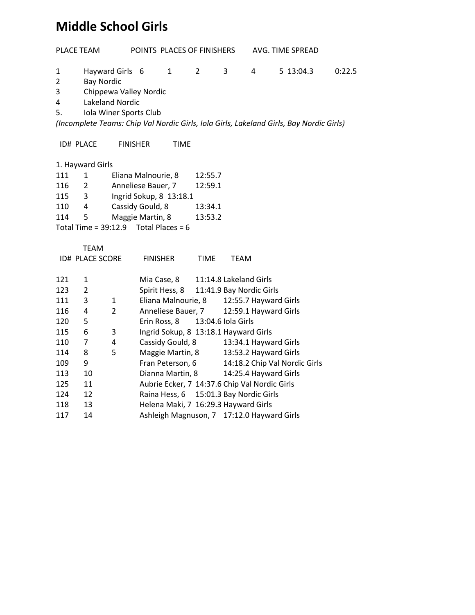### **Middle School Girls**

| <b>PLACE TEAM</b>                                                                       |                        | POINTS PLACES OF FINISHERS                                                                    |                                           |                                               |                | AVG. TIME SPREAD       |                          |  |                               |        |  |
|-----------------------------------------------------------------------------------------|------------------------|-----------------------------------------------------------------------------------------------|-------------------------------------------|-----------------------------------------------|----------------|------------------------|--------------------------|--|-------------------------------|--------|--|
| 1<br>$\overline{2}$<br>3<br>4<br>5.                                                     | <b>Bay Nordic</b>      | Hayward Girls 6<br>Chippewa Valley Nordic<br><b>Lakeland Nordic</b><br>Iola Winer Sports Club |                                           | $\mathbf{1}$                                  | $\overline{2}$ | 3                      | 4                        |  | 5 13:04.3                     | 0:22.5 |  |
| (Incomplete Teams: Chip Val Nordic Girls, Iola Girls, Lakeland Girls, Bay Nordic Girls) |                        |                                                                                               |                                           |                                               |                |                        |                          |  |                               |        |  |
|                                                                                         | <b>ID# PLACE</b>       | <b>FINISHER</b>                                                                               |                                           | <b>TIME</b>                                   |                |                        |                          |  |                               |        |  |
|                                                                                         | 1. Hayward Girls       |                                                                                               |                                           |                                               |                |                        |                          |  |                               |        |  |
| 111                                                                                     | $\mathbf{1}$           | Eliana Malnourie, 8                                                                           |                                           |                                               | 12:55.7        |                        |                          |  |                               |        |  |
| 116                                                                                     | $\overline{2}$         | Anneliese Bauer, 7                                                                            |                                           |                                               | 12:59.1        |                        |                          |  |                               |        |  |
| 115                                                                                     | 3                      |                                                                                               |                                           | Ingrid Sokup, 8 13:18.1                       |                |                        |                          |  |                               |        |  |
| 110                                                                                     | 4                      | Cassidy Gould, 8                                                                              |                                           |                                               | 13:34.1        |                        |                          |  |                               |        |  |
| 114                                                                                     | 5                      | Maggie Martin, 8                                                                              |                                           |                                               | 13:53.2        |                        |                          |  |                               |        |  |
|                                                                                         |                        |                                                                                               |                                           | Total Time = $39:12.9$ Total Places = 6       |                |                        |                          |  |                               |        |  |
|                                                                                         |                        |                                                                                               |                                           |                                               |                |                        |                          |  |                               |        |  |
|                                                                                         | <b>TEAM</b>            |                                                                                               |                                           |                                               |                |                        |                          |  |                               |        |  |
|                                                                                         | <b>ID# PLACE SCORE</b> |                                                                                               | <b>FINISHER</b>                           |                                               | <b>TIME</b>    | <b>TEAM</b>            |                          |  |                               |        |  |
|                                                                                         |                        |                                                                                               |                                           |                                               |                |                        |                          |  |                               |        |  |
| 121                                                                                     | $\mathbf{1}$           |                                                                                               |                                           | Mia Case, 8                                   |                | 11:14.8 Lakeland Girls |                          |  |                               |        |  |
| 123                                                                                     | $\overline{2}$         |                                                                                               |                                           | Spirit Hess, 8                                |                |                        | 11:41.9 Bay Nordic Girls |  |                               |        |  |
| 111                                                                                     | 3                      | $\mathbf{1}$                                                                                  |                                           | Eliana Malnourie, 8                           |                |                        | 12:55.7 Hayward Girls    |  |                               |        |  |
| 116                                                                                     | 4                      | $\overline{2}$                                                                                |                                           | Anneliese Bauer, 7                            |                |                        | 12:59.1 Hayward Girls    |  |                               |        |  |
| 120                                                                                     | 5                      |                                                                                               |                                           | Erin Ross, 8                                  |                | 13:04.6 Iola Girls     |                          |  |                               |        |  |
| 115                                                                                     | 6                      | 3                                                                                             |                                           | Ingrid Sokup, 8 13:18.1 Hayward Girls         |                |                        |                          |  |                               |        |  |
| 110                                                                                     | 7                      | 4                                                                                             |                                           | Cassidy Gould, 8                              |                |                        | 13:34.1 Hayward Girls    |  |                               |        |  |
| 114                                                                                     | 8                      | 5                                                                                             |                                           | Maggie Martin, 8                              |                |                        | 13:53.2 Hayward Girls    |  |                               |        |  |
| 109                                                                                     | 9                      |                                                                                               |                                           | Fran Peterson, 6                              |                |                        |                          |  | 14:18.2 Chip Val Nordic Girls |        |  |
| 113                                                                                     | 10                     |                                                                                               |                                           | Dianna Martin, 8                              |                |                        | 14:25.4 Hayward Girls    |  |                               |        |  |
| 125                                                                                     | 11                     |                                                                                               |                                           | Aubrie Ecker, 7 14:37.6 Chip Val Nordic Girls |                |                        |                          |  |                               |        |  |
| 124                                                                                     | 12                     |                                                                                               | 15:01.3 Bay Nordic Girls<br>Raina Hess, 6 |                                               |                |                        |                          |  |                               |        |  |
| 118                                                                                     | 13                     |                                                                                               |                                           | Helena Maki, 7 16:29.3 Hayward Girls          |                |                        |                          |  |                               |        |  |
| 117                                                                                     | 14                     |                                                                                               |                                           | Ashleigh Magnuson, 7 17:12.0 Hayward Girls    |                |                        |                          |  |                               |        |  |
|                                                                                         |                        |                                                                                               |                                           |                                               |                |                        |                          |  |                               |        |  |